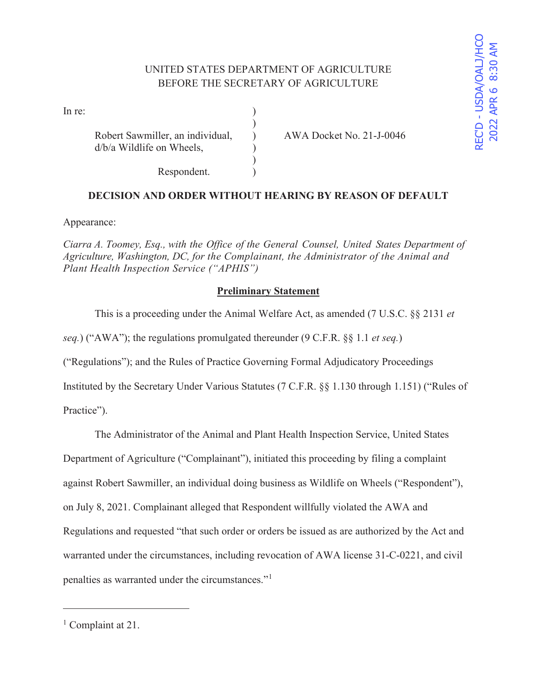| In re: |                                                               |  |
|--------|---------------------------------------------------------------|--|
|        | Robert Sawmiller, an individual,<br>d/b/a Wildlife on Wheels, |  |
|        | Respondent.                                                   |  |

AWA Docket No. 21-J-0046

# **DECISION AND ORDER WITHOUT HEARING BY REASON OF DEFAULT**

Appearance:

*Ciarra A. Toomey, Esq., with the Office of the General Counsel, United States Department of Agriculture, Washington, DC, for the Complainant, the Administrator of the Animal and Plant Health Inspection Service ("APHIS")* 

## **Preliminary Statement**

This is a proceeding under the Animal Welfare Act, as amended (7 U.S.C. §§ 2131 *et* 

*seq.*) ("AWA"); the regulations promulgated thereunder (9 C.F.R. §§ 1.1 *et seq.*)

("Regulations"); and the Rules of Practice Governing Formal Adjudicatory Proceedings

Instituted by the Secretary Under Various Statutes (7 C.F.R. §§ 1.130 through 1.151) ("Rules of

Practice").

The Administrator of the Animal and Plant Health Inspection Service, United States

Department of Agriculture ("Complainant"), initiated this proceeding by filing a complaint

against Robert Sawmiller, an individual doing business as Wildlife on Wheels ("Respondent"),

on July 8, 2021. Complainant alleged that Respondent willfully violated the AWA and

Regulations and requested "that such order or orders be issued as are authorized by the Act and

warranted under the circumstances, including revocation of AWA license 31-C-0221, and civil

penalties as warranted under the circumstances."<sup>1</sup>

<sup>&</sup>lt;sup>1</sup> Complaint at 21.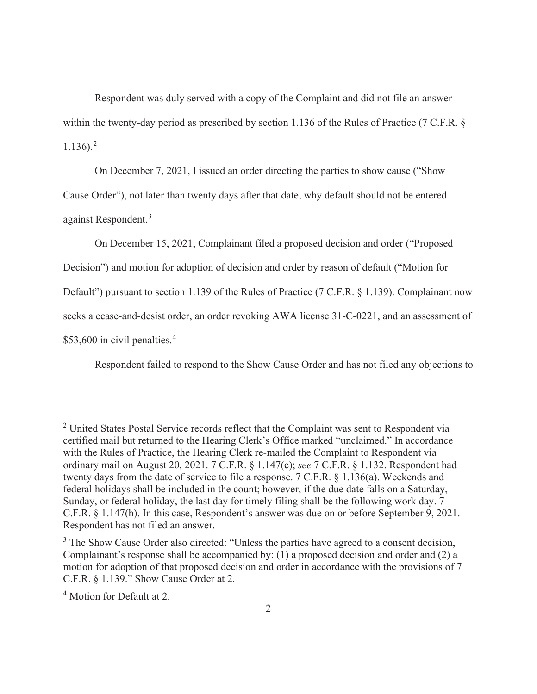Respondent was duly served with a copy of the Complaint and did not file an answer within the twenty-day period as prescribed by section 1.136 of the Rules of Practice (7 C.F.R. §  $1.136$ ).<sup>2</sup>

On December 7, 2021, I issued an order directing the parties to show cause ("Show

Cause Order"), not later than twenty days after that date, why default should not be entered against Respondent.<sup>3</sup>

On December 15, 2021, Complainant filed a proposed decision and order ("Proposed

Decision") and motion for adoption of decision and order by reason of default ("Motion for

Default") pursuant to section 1.139 of the Rules of Practice (7 C.F.R. § 1.139). Complainant now

seeks a cease-and-desist order, an order revoking AWA license 31-C-0221, and an assessment of

\$53,600 in civil penalties.<sup>4</sup>

Respondent failed to respond to the Show Cause Order and has not filed any objections to

 $2$  United States Postal Service records reflect that the Complaint was sent to Respondent via certified mail but returned to the Hearing Clerk's Office marked "unclaimed." In accordance with the Rules of Practice, the Hearing Clerk re-mailed the Complaint to Respondent via ordinary mail on August 20, 2021. 7 C.F.R. § 1.147(c); *see* 7 C.F.R. § 1.132. Respondent had twenty days from the date of service to file a response. 7 C.F.R. § 1.136(a). Weekends and federal holidays shall be included in the count; however, if the due date falls on a Saturday, Sunday, or federal holiday, the last day for timely filing shall be the following work day. 7 C.F.R. § 1.147(h). In this case, Respondent's answer was due on or before September 9, 2021. Respondent has not filed an answer.

<sup>&</sup>lt;sup>3</sup> The Show Cause Order also directed: "Unless the parties have agreed to a consent decision, Complainant's response shall be accompanied by: (1) a proposed decision and order and (2) a motion for adoption of that proposed decision and order in accordance with the provisions of 7 C.F.R. § 1.139." Show Cause Order at 2.

<sup>4</sup> Motion for Default at 2.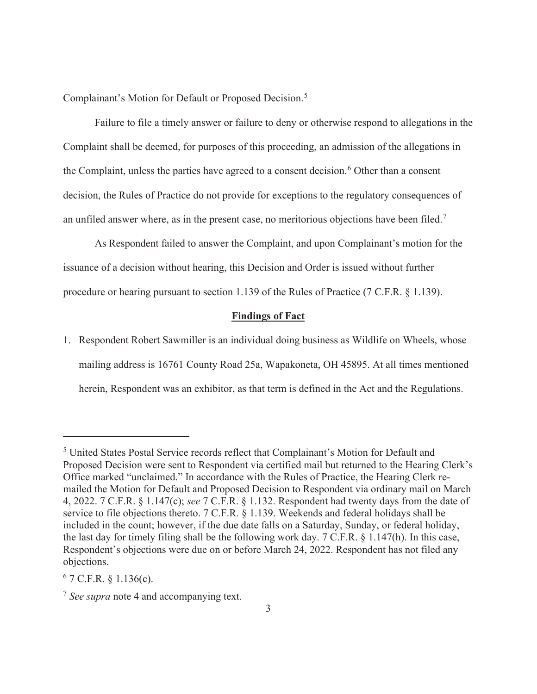Complainant's Motion for Default or Proposed Decision.<sup>5</sup>

 Failure to file a timely answer or failure to deny or otherwise respond to allegations in the Complaint shall be deemed, for purposes of this proceeding, an admission of the allegations in the Complaint, unless the parties have agreed to a consent decision.<sup>6</sup> Other than a consent decision, the Rules of Practice do not provide for exceptions to the regulatory consequences of an unfiled answer where, as in the present case, no meritorious objections have been filed.<sup>7</sup>

 As Respondent failed to answer the Complaint, and upon Complainant's motion for the issuance of a decision without hearing, this Decision and Order is issued without further procedure or hearing pursuant to section 1.139 of the Rules of Practice (7 C.F.R. § 1.139).

### **Findings of Fact**

1. Respondent Robert Sawmiller is an individual doing business as Wildlife on Wheels, whose mailing address is 16761 County Road 25a, Wapakoneta, OH 45895. At all times mentioned herein, Respondent was an exhibitor, as that term is defined in the Act and the Regulations.

<sup>&</sup>lt;sup>5</sup> United States Postal Service records reflect that Complainant's Motion for Default and Proposed Decision were sent to Respondent via certified mail but returned to the Hearing Clerk's Office marked "unclaimed." In accordance with the Rules of Practice, the Hearing Clerk remailed the Motion for Default and Proposed Decision to Respondent via ordinary mail on March 4, 2022. 7 C.F.R. § 1.147(c); *see* 7 C.F.R. § 1.132. Respondent had twenty days from the date of service to file objections thereto. 7 C.F.R. § 1.139. Weekends and federal holidays shall be included in the count; however, if the due date falls on a Saturday, Sunday, or federal holiday, the last day for timely filing shall be the following work day. 7 C.F.R. § 1.147(h). In this case, Respondent's objections were due on or before March 24, 2022. Respondent has not filed any objections.

 $6$  7 C.F.R. § 1.136(c).

<sup>7</sup> *See supra* note 4 and accompanying text.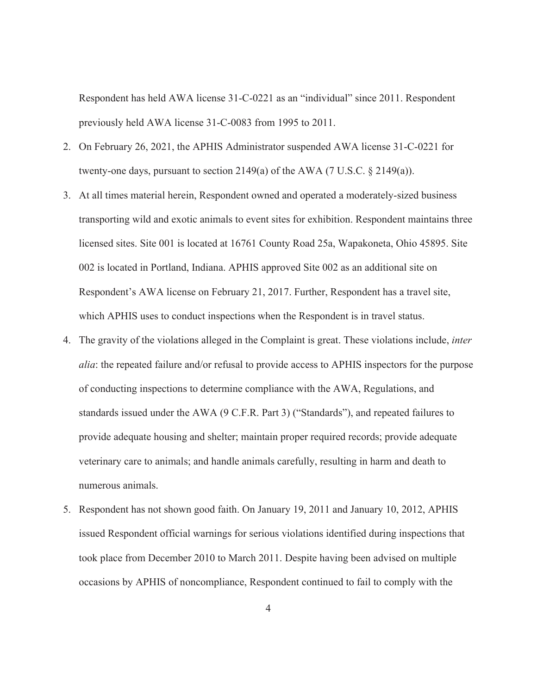Respondent has held AWA license 31-C-0221 as an "individual" since 2011. Respondent previously held AWA license 31-C-0083 from 1995 to 2011.

- 2. On February 26, 2021, the APHIS Administrator suspended AWA license 31-C-0221 for twenty-one days, pursuant to section 2149(a) of the AWA (7 U.S.C.  $\S$  2149(a)).
- 3. At all times material herein, Respondent owned and operated a moderately-sized business transporting wild and exotic animals to event sites for exhibition. Respondent maintains three licensed sites. Site 001 is located at 16761 County Road 25a, Wapakoneta, Ohio 45895. Site 002 is located in Portland, Indiana. APHIS approved Site 002 as an additional site on Respondent's AWA license on February 21, 2017. Further, Respondent has a travel site, which APHIS uses to conduct inspections when the Respondent is in travel status.
- 4. The gravity of the violations alleged in the Complaint is great. These violations include, *inter alia*: the repeated failure and/or refusal to provide access to APHIS inspectors for the purpose of conducting inspections to determine compliance with the AWA, Regulations, and standards issued under the AWA (9 C.F.R. Part 3) ("Standards"), and repeated failures to provide adequate housing and shelter; maintain proper required records; provide adequate veterinary care to animals; and handle animals carefully, resulting in harm and death to numerous animals.
- 5. Respondent has not shown good faith. On January 19, 2011 and January 10, 2012, APHIS issued Respondent official warnings for serious violations identified during inspections that took place from December 2010 to March 2011. Despite having been advised on multiple occasions by APHIS of noncompliance, Respondent continued to fail to comply with the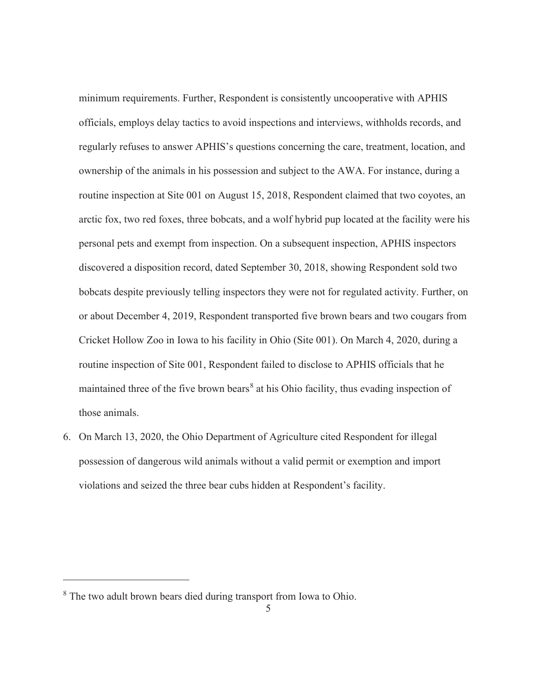minimum requirements. Further, Respondent is consistently uncooperative with APHIS officials, employs delay tactics to avoid inspections and interviews, withholds records, and regularly refuses to answer APHIS's questions concerning the care, treatment, location, and ownership of the animals in his possession and subject to the AWA. For instance, during a routine inspection at Site 001 on August 15, 2018, Respondent claimed that two coyotes, an arctic fox, two red foxes, three bobcats, and a wolf hybrid pup located at the facility were his personal pets and exempt from inspection. On a subsequent inspection, APHIS inspectors discovered a disposition record, dated September 30, 2018, showing Respondent sold two bobcats despite previously telling inspectors they were not for regulated activity. Further, on or about December 4, 2019, Respondent transported five brown bears and two cougars from Cricket Hollow Zoo in Iowa to his facility in Ohio (Site 001). On March 4, 2020, during a routine inspection of Site 001, Respondent failed to disclose to APHIS officials that he maintained three of the five brown bears<sup>8</sup> at his Ohio facility, thus evading inspection of those animals.

6. On March 13, 2020, the Ohio Department of Agriculture cited Respondent for illegal possession of dangerous wild animals without a valid permit or exemption and import violations and seized the three bear cubs hidden at Respondent's facility.

<sup>&</sup>lt;sup>8</sup> The two adult brown bears died during transport from Iowa to Ohio.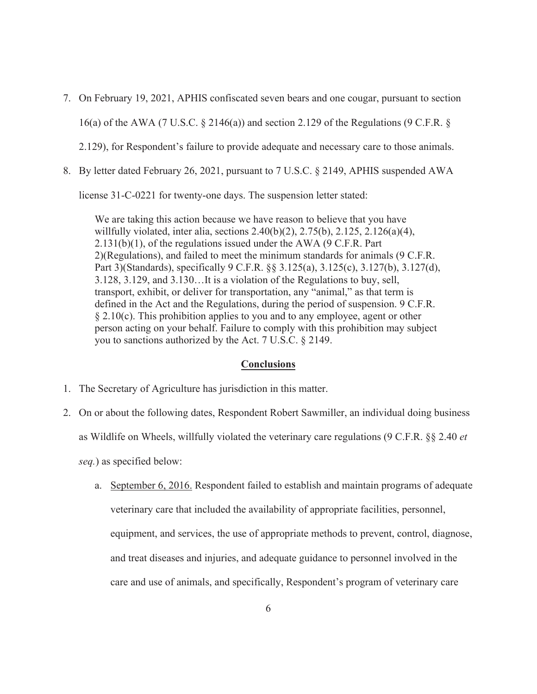- 7. On February 19, 2021, APHIS confiscated seven bears and one cougar, pursuant to section 16(a) of the AWA (7 U.S.C. § 2146(a)) and section 2.129 of the Regulations (9 C.F.R. § 2.129), for Respondent's failure to provide adequate and necessary care to those animals.
- 8. By letter dated February 26, 2021, pursuant to 7 U.S.C. § 2149, APHIS suspended AWA

license 31-C-0221 for twenty-one days. The suspension letter stated:

We are taking this action because we have reason to believe that you have willfully violated, inter alia, sections 2.40(b)(2), 2.75(b), 2.125, 2.126(a)(4), 2.131(b)(1), of the regulations issued under the AWA (9 C.F.R. Part 2)(Regulations), and failed to meet the minimum standards for animals (9 C.F.R. Part 3)(Standards), specifically 9 C.F.R. §§ 3.125(a), 3.125(c), 3.127(b), 3.127(d), 3.128, 3.129, and 3.130…It is a violation of the Regulations to buy, sell, transport, exhibit, or deliver for transportation, any "animal," as that term is defined in the Act and the Regulations, during the period of suspension. 9 C.F.R.  $\S 2.10(c)$ . This prohibition applies to you and to any employee, agent or other person acting on your behalf. Failure to comply with this prohibition may subject you to sanctions authorized by the Act. 7 U.S.C. § 2149.

#### **Conclusions**

- 1. The Secretary of Agriculture has jurisdiction in this matter.
- 2. On or about the following dates, Respondent Robert Sawmiller, an individual doing business as Wildlife on Wheels, willfully violated the veterinary care regulations (9 C.F.R. §§ 2.40 *et*

*seq.*) as specified below:

a. September 6, 2016. Respondent failed to establish and maintain programs of adequate veterinary care that included the availability of appropriate facilities, personnel, equipment, and services, the use of appropriate methods to prevent, control, diagnose, and treat diseases and injuries, and adequate guidance to personnel involved in the care and use of animals, and specifically, Respondent's program of veterinary care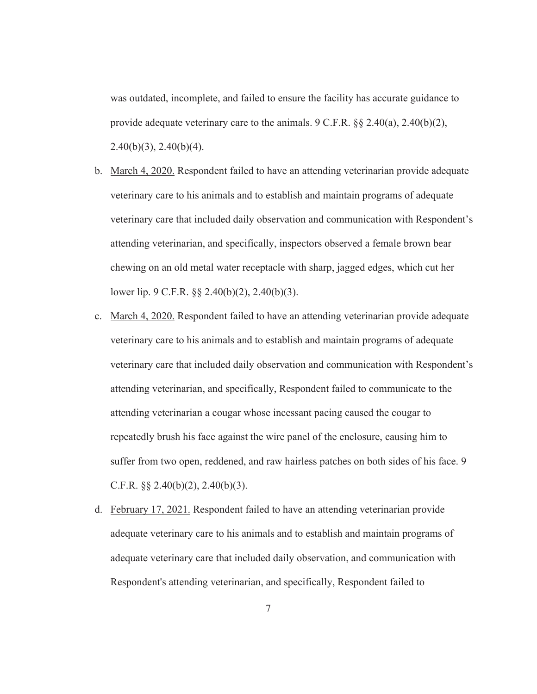was outdated, incomplete, and failed to ensure the facility has accurate guidance to provide adequate veterinary care to the animals.  $9 \text{ C.F.R. }$  §§ 2.40(a), 2.40(b)(2),  $2.40(b)(3)$ ,  $2.40(b)(4)$ .

- b. March 4, 2020. Respondent failed to have an attending veterinarian provide adequate veterinary care to his animals and to establish and maintain programs of adequate veterinary care that included daily observation and communication with Respondent's attending veterinarian, and specifically, inspectors observed a female brown bear chewing on an old metal water receptacle with sharp, jagged edges, which cut her lower lip. 9 C.F.R. §§ 2.40(b)(2), 2.40(b)(3).
- c. March 4, 2020. Respondent failed to have an attending veterinarian provide adequate veterinary care to his animals and to establish and maintain programs of adequate veterinary care that included daily observation and communication with Respondent's attending veterinarian, and specifically, Respondent failed to communicate to the attending veterinarian a cougar whose incessant pacing caused the cougar to repeatedly brush his face against the wire panel of the enclosure, causing him to suffer from two open, reddened, and raw hairless patches on both sides of his face. 9 C.F.R.  $\S$  $\S$  2.40(b)(2), 2.40(b)(3).
- d. February 17, 2021. Respondent failed to have an attending veterinarian provide adequate veterinary care to his animals and to establish and maintain programs of adequate veterinary care that included daily observation, and communication with Respondent's attending veterinarian, and specifically, Respondent failed to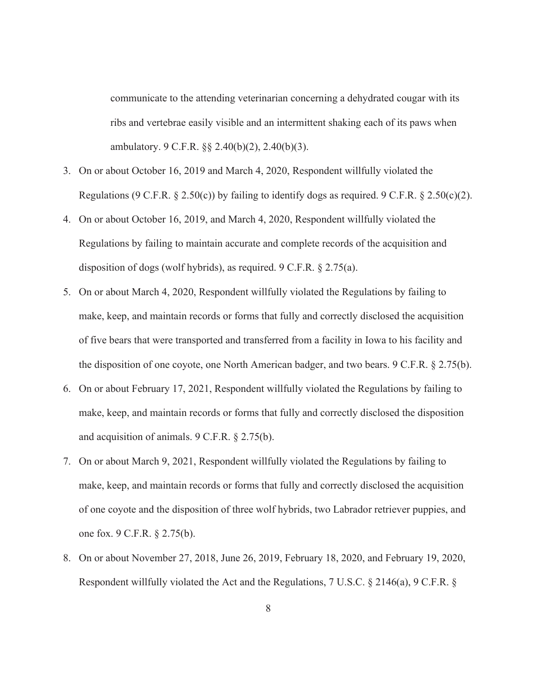communicate to the attending veterinarian concerning a dehydrated cougar with its ribs and vertebrae easily visible and an intermittent shaking each of its paws when ambulatory. 9 C.F.R. §§ 2.40(b)(2), 2.40(b)(3).

- 3. On or about October 16, 2019 and March 4, 2020, Respondent willfully violated the Regulations (9 C.F.R.  $\S 2.50(c)$ ) by failing to identify dogs as required. 9 C.F.R.  $\S 2.50(c)(2)$ .
- 4. On or about October 16, 2019, and March 4, 2020, Respondent willfully violated the Regulations by failing to maintain accurate and complete records of the acquisition and disposition of dogs (wolf hybrids), as required. 9 C.F.R. § 2.75(a).
- 5. On or about March 4, 2020, Respondent willfully violated the Regulations by failing to make, keep, and maintain records or forms that fully and correctly disclosed the acquisition of five bears that were transported and transferred from a facility in Iowa to his facility and the disposition of one coyote, one North American badger, and two bears. 9 C.F.R. § 2.75(b).
- 6. On or about February 17, 2021, Respondent willfully violated the Regulations by failing to make, keep, and maintain records or forms that fully and correctly disclosed the disposition and acquisition of animals. 9 C.F.R. § 2.75(b).
- 7. On or about March 9, 2021, Respondent willfully violated the Regulations by failing to make, keep, and maintain records or forms that fully and correctly disclosed the acquisition of one coyote and the disposition of three wolf hybrids, two Labrador retriever puppies, and one fox. 9 C.F.R. § 2.75(b).
- 8. On or about November 27, 2018, June 26, 2019, February 18, 2020, and February 19, 2020, Respondent willfully violated the Act and the Regulations, 7 U.S.C. § 2146(a), 9 C.F.R. §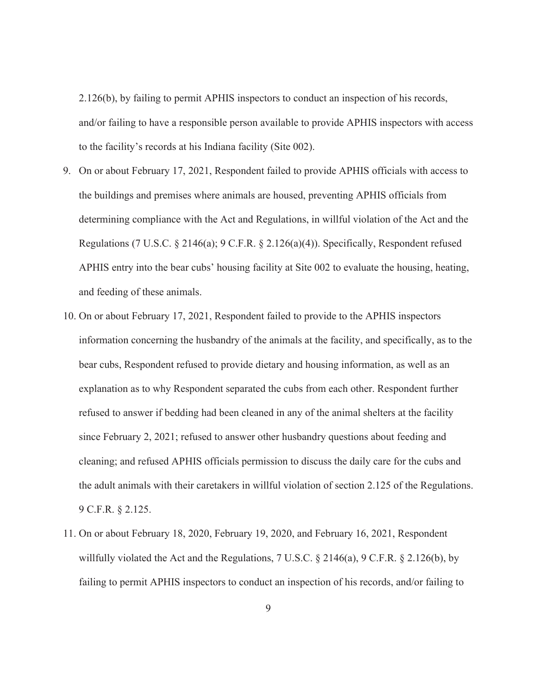2.126(b), by failing to permit APHIS inspectors to conduct an inspection of his records, and/or failing to have a responsible person available to provide APHIS inspectors with access to the facility's records at his Indiana facility (Site 002).

- 9. On or about February 17, 2021, Respondent failed to provide APHIS officials with access to the buildings and premises where animals are housed, preventing APHIS officials from determining compliance with the Act and Regulations, in willful violation of the Act and the Regulations (7 U.S.C. § 2146(a); 9 C.F.R. § 2.126(a)(4)). Specifically, Respondent refused APHIS entry into the bear cubs' housing facility at Site 002 to evaluate the housing, heating, and feeding of these animals.
- 10. On or about February 17, 2021, Respondent failed to provide to the APHIS inspectors information concerning the husbandry of the animals at the facility, and specifically, as to the bear cubs, Respondent refused to provide dietary and housing information, as well as an explanation as to why Respondent separated the cubs from each other. Respondent further refused to answer if bedding had been cleaned in any of the animal shelters at the facility since February 2, 2021; refused to answer other husbandry questions about feeding and cleaning; and refused APHIS officials permission to discuss the daily care for the cubs and the adult animals with their caretakers in willful violation of section 2.125 of the Regulations. 9 C.F.R. § 2.125.
- 11. On or about February 18, 2020, February 19, 2020, and February 16, 2021, Respondent willfully violated the Act and the Regulations, 7 U.S.C. § 2146(a), 9 C.F.R. § 2.126(b), by failing to permit APHIS inspectors to conduct an inspection of his records, and/or failing to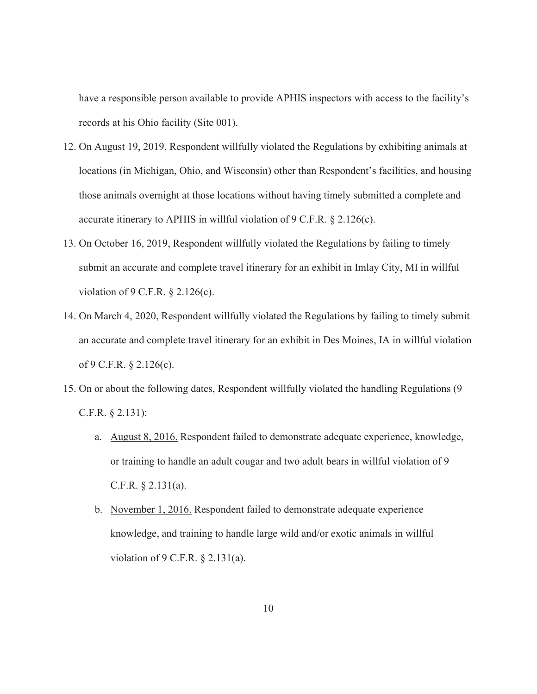have a responsible person available to provide APHIS inspectors with access to the facility's records at his Ohio facility (Site 001).

- 12. On August 19, 2019, Respondent willfully violated the Regulations by exhibiting animals at locations (in Michigan, Ohio, and Wisconsin) other than Respondent's facilities, and housing those animals overnight at those locations without having timely submitted a complete and accurate itinerary to APHIS in willful violation of 9 C.F.R. § 2.126(c).
- 13. On October 16, 2019, Respondent willfully violated the Regulations by failing to timely submit an accurate and complete travel itinerary for an exhibit in Imlay City, MI in willful violation of 9 C.F.R. § 2.126(c).
- 14. On March 4, 2020, Respondent willfully violated the Regulations by failing to timely submit an accurate and complete travel itinerary for an exhibit in Des Moines, IA in willful violation of 9 C.F.R. § 2.126(c).
- 15. On or about the following dates, Respondent willfully violated the handling Regulations (9 C.F.R. § 2.131):
	- a. August 8, 2016. Respondent failed to demonstrate adequate experience, knowledge, or training to handle an adult cougar and two adult bears in willful violation of 9 C.F.R. § 2.131(a).
	- b. November 1, 2016. Respondent failed to demonstrate adequate experience knowledge, and training to handle large wild and/or exotic animals in willful violation of 9 C.F.R. § 2.131(a).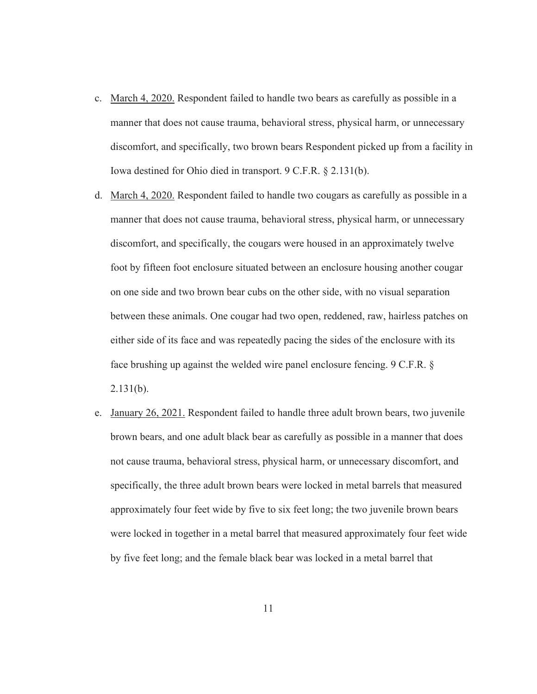- c. March 4, 2020. Respondent failed to handle two bears as carefully as possible in a manner that does not cause trauma, behavioral stress, physical harm, or unnecessary discomfort, and specifically, two brown bears Respondent picked up from a facility in Iowa destined for Ohio died in transport. 9 C.F.R. § 2.131(b).
- d. March 4, 2020. Respondent failed to handle two cougars as carefully as possible in a manner that does not cause trauma, behavioral stress, physical harm, or unnecessary discomfort, and specifically, the cougars were housed in an approximately twelve foot by fifteen foot enclosure situated between an enclosure housing another cougar on one side and two brown bear cubs on the other side, with no visual separation between these animals. One cougar had two open, reddened, raw, hairless patches on either side of its face and was repeatedly pacing the sides of the enclosure with its face brushing up against the welded wire panel enclosure fencing. 9 C.F.R. § 2.131(b).
- e. January 26, 2021. Respondent failed to handle three adult brown bears, two juvenile brown bears, and one adult black bear as carefully as possible in a manner that does not cause trauma, behavioral stress, physical harm, or unnecessary discomfort, and specifically, the three adult brown bears were locked in metal barrels that measured approximately four feet wide by five to six feet long; the two juvenile brown bears were locked in together in a metal barrel that measured approximately four feet wide by five feet long; and the female black bear was locked in a metal barrel that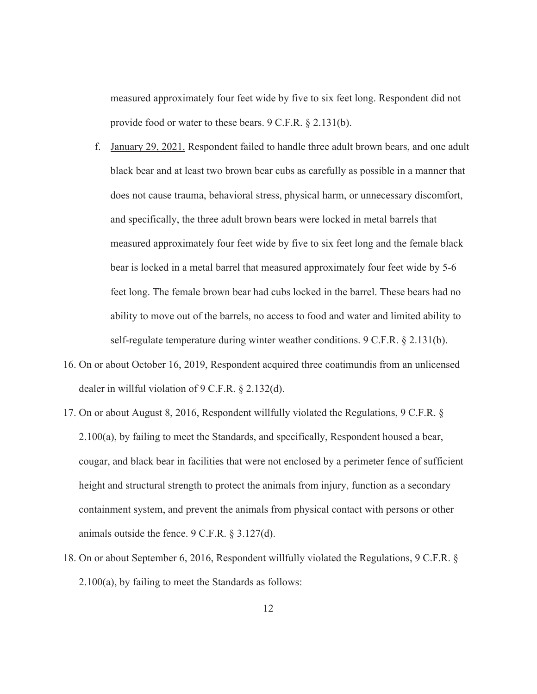measured approximately four feet wide by five to six feet long. Respondent did not provide food or water to these bears. 9 C.F.R. § 2.131(b).

- f. January 29, 2021. Respondent failed to handle three adult brown bears, and one adult black bear and at least two brown bear cubs as carefully as possible in a manner that does not cause trauma, behavioral stress, physical harm, or unnecessary discomfort, and specifically, the three adult brown bears were locked in metal barrels that measured approximately four feet wide by five to six feet long and the female black bear is locked in a metal barrel that measured approximately four feet wide by 5-6 feet long. The female brown bear had cubs locked in the barrel. These bears had no ability to move out of the barrels, no access to food and water and limited ability to self-regulate temperature during winter weather conditions. 9 C.F.R. § 2.131(b).
- 16. On or about October 16, 2019, Respondent acquired three coatimundis from an unlicensed dealer in willful violation of 9 C.F.R. § 2.132(d).
- 17. On or about August 8, 2016, Respondent willfully violated the Regulations, 9 C.F.R. § 2.100(a), by failing to meet the Standards, and specifically, Respondent housed a bear, cougar, and black bear in facilities that were not enclosed by a perimeter fence of sufficient height and structural strength to protect the animals from injury, function as a secondary containment system, and prevent the animals from physical contact with persons or other animals outside the fence. 9 C.F.R. § 3.127(d).
- 18. On or about September 6, 2016, Respondent willfully violated the Regulations, 9 C.F.R. § 2.100(a), by failing to meet the Standards as follows: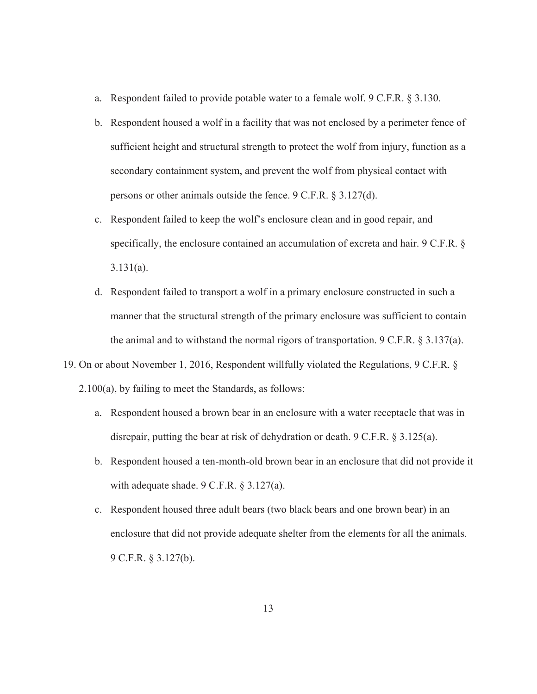- a. Respondent failed to provide potable water to a female wolf. 9 C.F.R. § 3.130.
- b. Respondent housed a wolf in a facility that was not enclosed by a perimeter fence of sufficient height and structural strength to protect the wolf from injury, function as a secondary containment system, and prevent the wolf from physical contact with persons or other animals outside the fence. 9 C.F.R. § 3.127(d).
- c. Respondent failed to keep the wolf's enclosure clean and in good repair, and specifically, the enclosure contained an accumulation of excreta and hair. 9 C.F.R. § 3.131(a).
- d. Respondent failed to transport a wolf in a primary enclosure constructed in such a manner that the structural strength of the primary enclosure was sufficient to contain the animal and to withstand the normal rigors of transportation. 9 C.F.R. § 3.137(a).
- 19. On or about November 1, 2016, Respondent willfully violated the Regulations, 9 C.F.R. § 2.100(a), by failing to meet the Standards, as follows:
	- a. Respondent housed a brown bear in an enclosure with a water receptacle that was in disrepair, putting the bear at risk of dehydration or death. 9 C.F.R. § 3.125(a).
	- b. Respondent housed a ten-month-old brown bear in an enclosure that did not provide it with adequate shade. 9 C.F.R. § 3.127(a).
	- c. Respondent housed three adult bears (two black bears and one brown bear) in an enclosure that did not provide adequate shelter from the elements for all the animals. 9 C.F.R. § 3.127(b).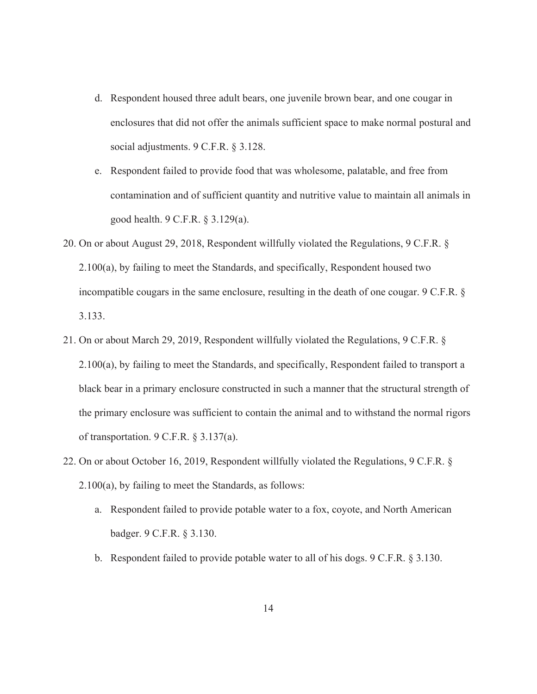- d. Respondent housed three adult bears, one juvenile brown bear, and one cougar in enclosures that did not offer the animals sufficient space to make normal postural and social adjustments. 9 C.F.R. § 3.128.
- e. Respondent failed to provide food that was wholesome, palatable, and free from contamination and of sufficient quantity and nutritive value to maintain all animals in good health. 9 C.F.R. § 3.129(a).
- 20. On or about August 29, 2018, Respondent willfully violated the Regulations, 9 C.F.R. § 2.100(a), by failing to meet the Standards, and specifically, Respondent housed two incompatible cougars in the same enclosure, resulting in the death of one cougar. 9 C.F.R. § 3.133.
- 21. On or about March 29, 2019, Respondent willfully violated the Regulations, 9 C.F.R. § 2.100(a), by failing to meet the Standards, and specifically, Respondent failed to transport a black bear in a primary enclosure constructed in such a manner that the structural strength of the primary enclosure was sufficient to contain the animal and to withstand the normal rigors of transportation. 9 C.F.R. § 3.137(a).
- 22. On or about October 16, 2019, Respondent willfully violated the Regulations, 9 C.F.R. § 2.100(a), by failing to meet the Standards, as follows:
	- a. Respondent failed to provide potable water to a fox, coyote, and North American badger. 9 C.F.R. § 3.130.
	- b. Respondent failed to provide potable water to all of his dogs. 9 C.F.R. § 3.130.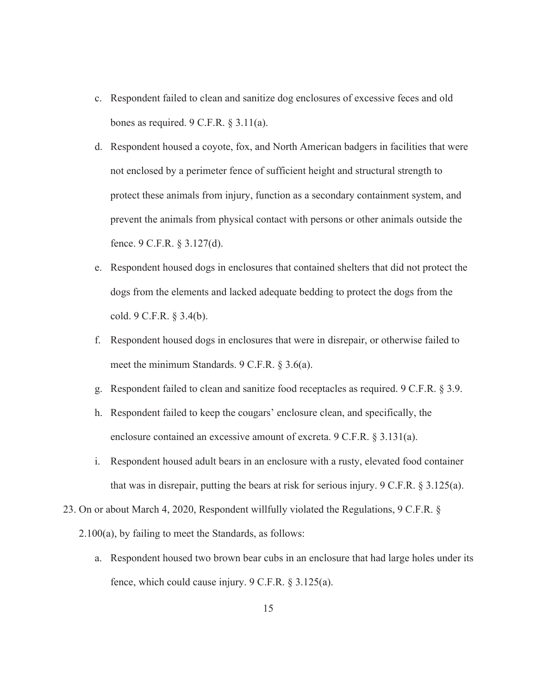- c. Respondent failed to clean and sanitize dog enclosures of excessive feces and old bones as required.  $9 \text{ C.F.R. } § 3.11(a)$ .
- d. Respondent housed a coyote, fox, and North American badgers in facilities that were not enclosed by a perimeter fence of sufficient height and structural strength to protect these animals from injury, function as a secondary containment system, and prevent the animals from physical contact with persons or other animals outside the fence. 9 C.F.R. § 3.127(d).
- e. Respondent housed dogs in enclosures that contained shelters that did not protect the dogs from the elements and lacked adequate bedding to protect the dogs from the cold. 9 C.F.R. § 3.4(b).
- f. Respondent housed dogs in enclosures that were in disrepair, or otherwise failed to meet the minimum Standards. 9 C.F.R. § 3.6(a).
- g. Respondent failed to clean and sanitize food receptacles as required. 9 C.F.R. § 3.9.
- h. Respondent failed to keep the cougars' enclosure clean, and specifically, the enclosure contained an excessive amount of excreta. 9 C.F.R. § 3.131(a).
- i. Respondent housed adult bears in an enclosure with a rusty, elevated food container that was in disrepair, putting the bears at risk for serious injury.  $9 \text{ C.F.R.} \$   $3.125(a)$ .
- 23. On or about March 4, 2020, Respondent willfully violated the Regulations, 9 C.F.R. §
	- 2.100(a), by failing to meet the Standards, as follows:
		- a. Respondent housed two brown bear cubs in an enclosure that had large holes under its fence, which could cause injury. 9 C.F.R. § 3.125(a).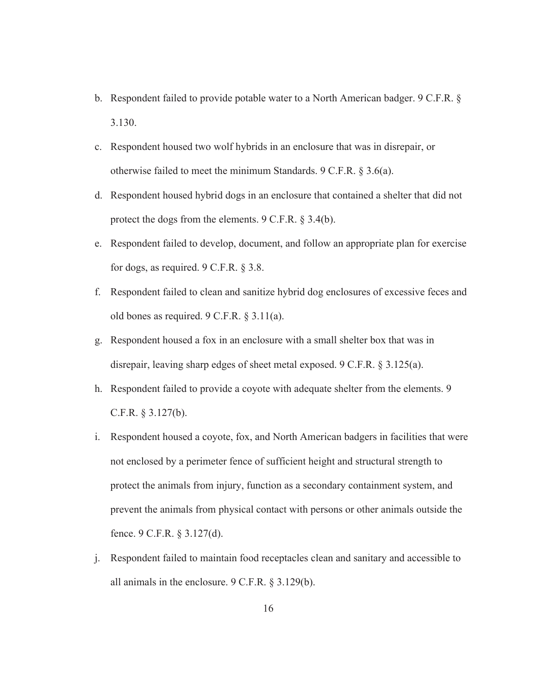- b. Respondent failed to provide potable water to a North American badger. 9 C.F.R. § 3.130.
- c. Respondent housed two wolf hybrids in an enclosure that was in disrepair, or otherwise failed to meet the minimum Standards. 9 C.F.R. § 3.6(a).
- d. Respondent housed hybrid dogs in an enclosure that contained a shelter that did not protect the dogs from the elements. 9 C.F.R. § 3.4(b).
- e. Respondent failed to develop, document, and follow an appropriate plan for exercise for dogs, as required. 9 C.F.R. § 3.8.
- f. Respondent failed to clean and sanitize hybrid dog enclosures of excessive feces and old bones as required. 9 C.F.R. § 3.11(a).
- g. Respondent housed a fox in an enclosure with a small shelter box that was in disrepair, leaving sharp edges of sheet metal exposed. 9 C.F.R. § 3.125(a).
- h. Respondent failed to provide a coyote with adequate shelter from the elements. 9 C.F.R. § 3.127(b).
- i. Respondent housed a coyote, fox, and North American badgers in facilities that were not enclosed by a perimeter fence of sufficient height and structural strength to protect the animals from injury, function as a secondary containment system, and prevent the animals from physical contact with persons or other animals outside the fence. 9 C.F.R. § 3.127(d).
- j. Respondent failed to maintain food receptacles clean and sanitary and accessible to all animals in the enclosure. 9 C.F.R. § 3.129(b).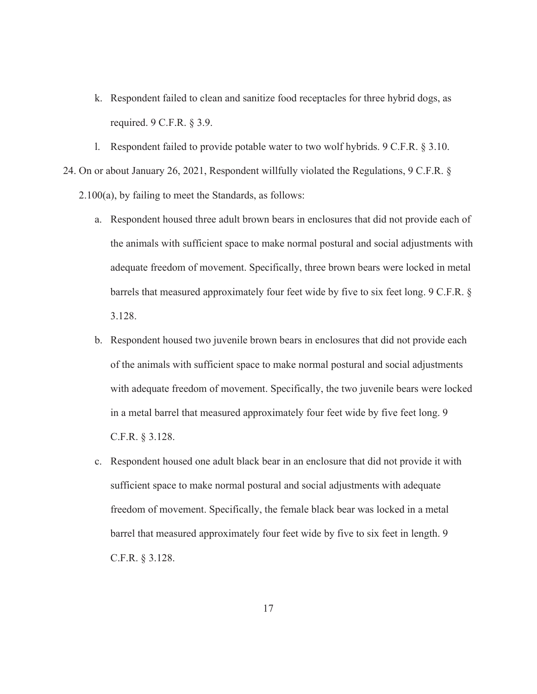- k. Respondent failed to clean and sanitize food receptacles for three hybrid dogs, as required. 9 C.F.R. § 3.9.
- l. Respondent failed to provide potable water to two wolf hybrids. 9 C.F.R. § 3.10.

24. On or about January 26, 2021, Respondent willfully violated the Regulations, 9 C.F.R. § 2.100(a), by failing to meet the Standards, as follows:

- a. Respondent housed three adult brown bears in enclosures that did not provide each of the animals with sufficient space to make normal postural and social adjustments with adequate freedom of movement. Specifically, three brown bears were locked in metal barrels that measured approximately four feet wide by five to six feet long. 9 C.F.R. § 3.128.
- b. Respondent housed two juvenile brown bears in enclosures that did not provide each of the animals with sufficient space to make normal postural and social adjustments with adequate freedom of movement. Specifically, the two juvenile bears were locked in a metal barrel that measured approximately four feet wide by five feet long. 9 C.F.R. § 3.128.
- c. Respondent housed one adult black bear in an enclosure that did not provide it with sufficient space to make normal postural and social adjustments with adequate freedom of movement. Specifically, the female black bear was locked in a metal barrel that measured approximately four feet wide by five to six feet in length. 9 C.F.R. § 3.128.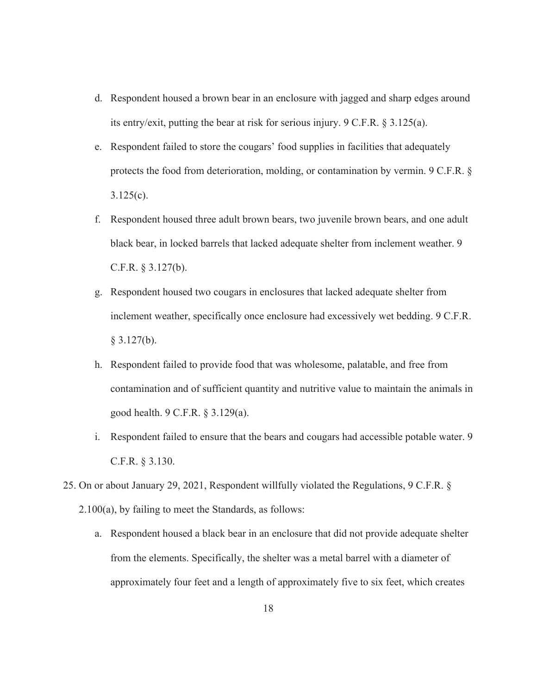- d. Respondent housed a brown bear in an enclosure with jagged and sharp edges around its entry/exit, putting the bear at risk for serious injury. 9 C.F.R. § 3.125(a).
- e. Respondent failed to store the cougars' food supplies in facilities that adequately protects the food from deterioration, molding, or contamination by vermin. 9 C.F.R. §  $3.125(c)$ .
- f. Respondent housed three adult brown bears, two juvenile brown bears, and one adult black bear, in locked barrels that lacked adequate shelter from inclement weather. 9 C.F.R. § 3.127(b).
- g. Respondent housed two cougars in enclosures that lacked adequate shelter from inclement weather, specifically once enclosure had excessively wet bedding. 9 C.F.R.  $§$  3.127(b).
- h. Respondent failed to provide food that was wholesome, palatable, and free from contamination and of sufficient quantity and nutritive value to maintain the animals in good health. 9 C.F.R. § 3.129(a).
- i. Respondent failed to ensure that the bears and cougars had accessible potable water. 9 C.F.R. § 3.130.
- 25. On or about January 29, 2021, Respondent willfully violated the Regulations, 9 C.F.R. § 2.100(a), by failing to meet the Standards, as follows:
	- a. Respondent housed a black bear in an enclosure that did not provide adequate shelter from the elements. Specifically, the shelter was a metal barrel with a diameter of approximately four feet and a length of approximately five to six feet, which creates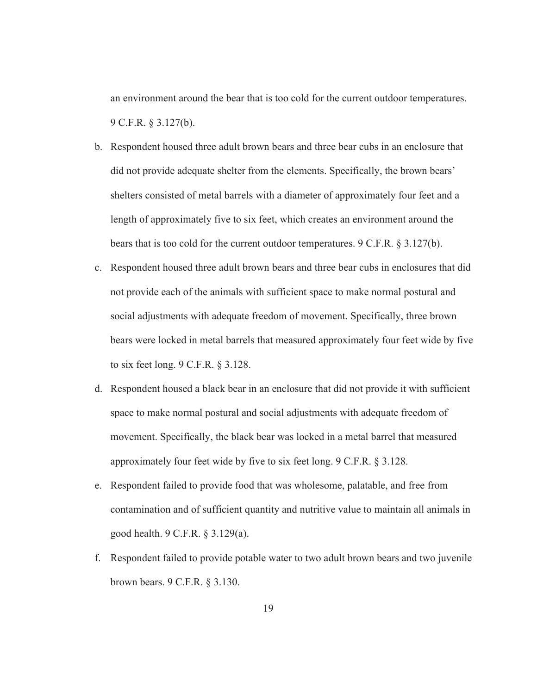an environment around the bear that is too cold for the current outdoor temperatures. 9 C.F.R. § 3.127(b).

- b. Respondent housed three adult brown bears and three bear cubs in an enclosure that did not provide adequate shelter from the elements. Specifically, the brown bears' shelters consisted of metal barrels with a diameter of approximately four feet and a length of approximately five to six feet, which creates an environment around the bears that is too cold for the current outdoor temperatures. 9 C.F.R. § 3.127(b).
- c. Respondent housed three adult brown bears and three bear cubs in enclosures that did not provide each of the animals with sufficient space to make normal postural and social adjustments with adequate freedom of movement. Specifically, three brown bears were locked in metal barrels that measured approximately four feet wide by five to six feet long. 9 C.F.R. § 3.128.
- d. Respondent housed a black bear in an enclosure that did not provide it with sufficient space to make normal postural and social adjustments with adequate freedom of movement. Specifically, the black bear was locked in a metal barrel that measured approximately four feet wide by five to six feet long. 9 C.F.R. § 3.128.
- e. Respondent failed to provide food that was wholesome, palatable, and free from contamination and of sufficient quantity and nutritive value to maintain all animals in good health. 9 C.F.R. § 3.129(a).
- f. Respondent failed to provide potable water to two adult brown bears and two juvenile brown bears. 9 C.F.R. § 3.130.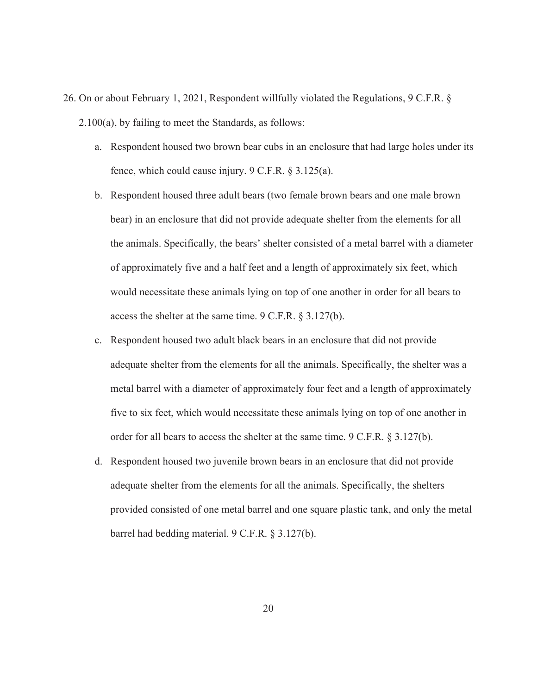- 26. On or about February 1, 2021, Respondent willfully violated the Regulations, 9 C.F.R. § 2.100(a), by failing to meet the Standards, as follows:
	- a. Respondent housed two brown bear cubs in an enclosure that had large holes under its fence, which could cause injury. 9 C.F.R. § 3.125(a).
	- b. Respondent housed three adult bears (two female brown bears and one male brown bear) in an enclosure that did not provide adequate shelter from the elements for all the animals. Specifically, the bears' shelter consisted of a metal barrel with a diameter of approximately five and a half feet and a length of approximately six feet, which would necessitate these animals lying on top of one another in order for all bears to access the shelter at the same time. 9 C.F.R. § 3.127(b).
	- c. Respondent housed two adult black bears in an enclosure that did not provide adequate shelter from the elements for all the animals. Specifically, the shelter was a metal barrel with a diameter of approximately four feet and a length of approximately five to six feet, which would necessitate these animals lying on top of one another in order for all bears to access the shelter at the same time. 9 C.F.R. § 3.127(b).
	- d. Respondent housed two juvenile brown bears in an enclosure that did not provide adequate shelter from the elements for all the animals. Specifically, the shelters provided consisted of one metal barrel and one square plastic tank, and only the metal barrel had bedding material. 9 C.F.R. § 3.127(b).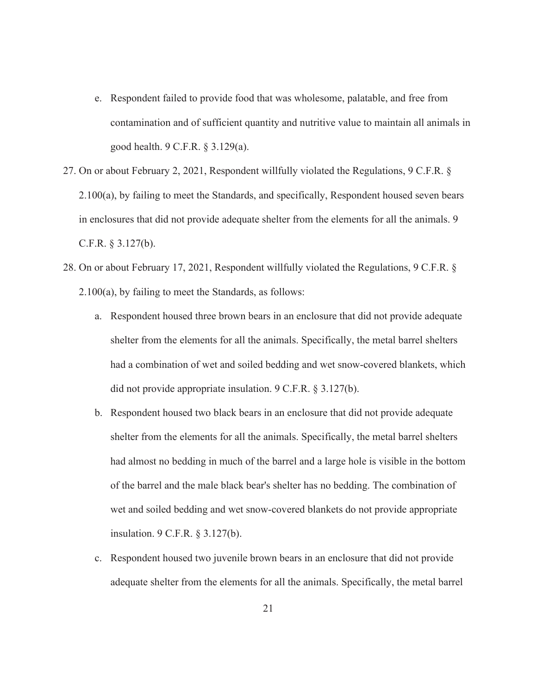- e. Respondent failed to provide food that was wholesome, palatable, and free from contamination and of sufficient quantity and nutritive value to maintain all animals in good health. 9 C.F.R. § 3.129(a).
- 27. On or about February 2, 2021, Respondent willfully violated the Regulations, 9 C.F.R. § 2.100(a), by failing to meet the Standards, and specifically, Respondent housed seven bears in enclosures that did not provide adequate shelter from the elements for all the animals. 9 C.F.R. § 3.127(b).
- 28. On or about February 17, 2021, Respondent willfully violated the Regulations, 9 C.F.R. § 2.100(a), by failing to meet the Standards, as follows:
	- a. Respondent housed three brown bears in an enclosure that did not provide adequate shelter from the elements for all the animals. Specifically, the metal barrel shelters had a combination of wet and soiled bedding and wet snow-covered blankets, which did not provide appropriate insulation. 9 C.F.R. § 3.127(b).
	- b. Respondent housed two black bears in an enclosure that did not provide adequate shelter from the elements for all the animals. Specifically, the metal barrel shelters had almost no bedding in much of the barrel and a large hole is visible in the bottom of the barrel and the male black bear's shelter has no bedding. The combination of wet and soiled bedding and wet snow-covered blankets do not provide appropriate insulation. 9 C.F.R. § 3.127(b).
	- c. Respondent housed two juvenile brown bears in an enclosure that did not provide adequate shelter from the elements for all the animals. Specifically, the metal barrel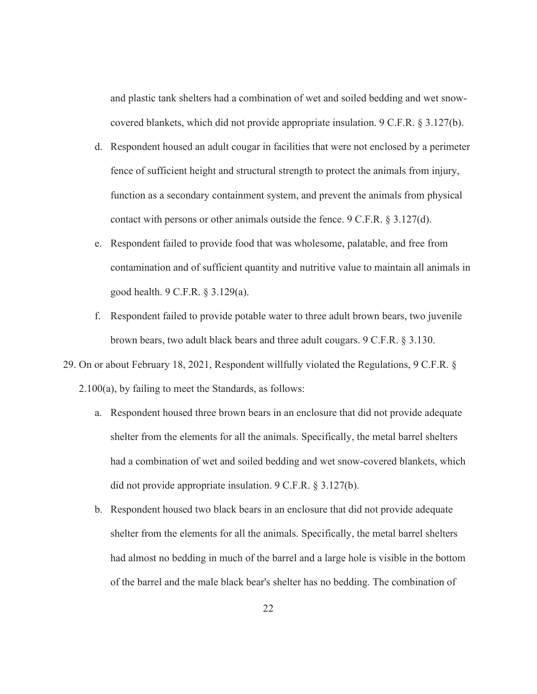and plastic tank shelters had a combination of wet and soiled bedding and wet snowcovered blankets, which did not provide appropriate insulation. 9 C.F.R. § 3.127(b).

- d. Respondent housed an adult cougar in facilities that were not enclosed by a perimeter fence of sufficient height and structural strength to protect the animals from injury, function as a secondary containment system, and prevent the animals from physical contact with persons or other animals outside the fence. 9 C.F.R. § 3.127(d).
- e. Respondent failed to provide food that was wholesome, palatable, and free from contamination and of sufficient quantity and nutritive value to maintain all animals in good health. 9 C.F.R. § 3.129(a).
- f. Respondent failed to provide potable water to three adult brown bears, two juvenile brown bears, two adult black bears and three adult cougars. 9 C.F.R. § 3.130.
- 29. On or about February 18, 2021, Respondent willfully violated the Regulations, 9 C.F.R. § 2.100(a), by failing to meet the Standards, as follows:
	- a. Respondent housed three brown bears in an enclosure that did not provide adequate shelter from the elements for all the animals. Specifically, the metal barrel shelters had a combination of wet and soiled bedding and wet snow-covered blankets, which did not provide appropriate insulation. 9 C.F.R. § 3.127(b).
	- b. Respondent housed two black bears in an enclosure that did not provide adequate shelter from the elements for all the animals. Specifically, the metal barrel shelters had almost no bedding in much of the barrel and a large hole is visible in the bottom of the barrel and the male black bear's shelter has no bedding. The combination of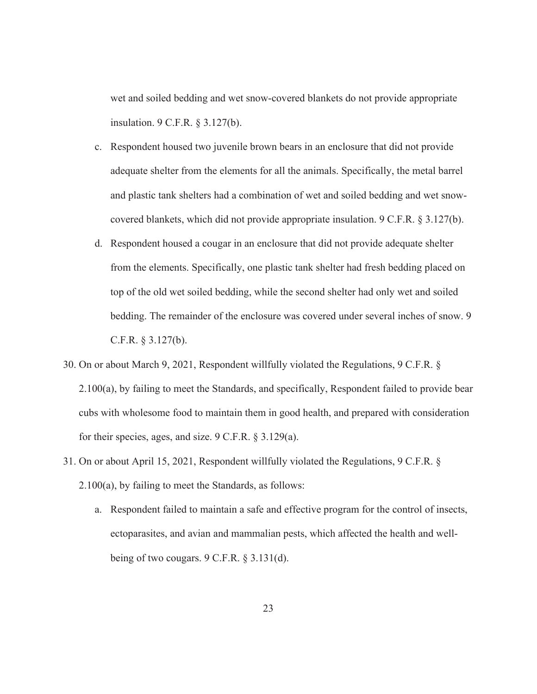wet and soiled bedding and wet snow-covered blankets do not provide appropriate insulation. 9 C.F.R. § 3.127(b).

- c. Respondent housed two juvenile brown bears in an enclosure that did not provide adequate shelter from the elements for all the animals. Specifically, the metal barrel and plastic tank shelters had a combination of wet and soiled bedding and wet snowcovered blankets, which did not provide appropriate insulation. 9 C.F.R. § 3.127(b).
- d. Respondent housed a cougar in an enclosure that did not provide adequate shelter from the elements. Specifically, one plastic tank shelter had fresh bedding placed on top of the old wet soiled bedding, while the second shelter had only wet and soiled bedding. The remainder of the enclosure was covered under several inches of snow. 9 C.F.R. § 3.127(b).
- 30. On or about March 9, 2021, Respondent willfully violated the Regulations, 9 C.F.R. § 2.100(a), by failing to meet the Standards, and specifically, Respondent failed to provide bear cubs with wholesome food to maintain them in good health, and prepared with consideration for their species, ages, and size. 9 C.F.R. § 3.129(a).
- 31. On or about April 15, 2021, Respondent willfully violated the Regulations, 9 C.F.R. § 2.100(a), by failing to meet the Standards, as follows:
	- a. Respondent failed to maintain a safe and effective program for the control of insects, ectoparasites, and avian and mammalian pests, which affected the health and wellbeing of two cougars. 9 C.F.R. § 3.131(d).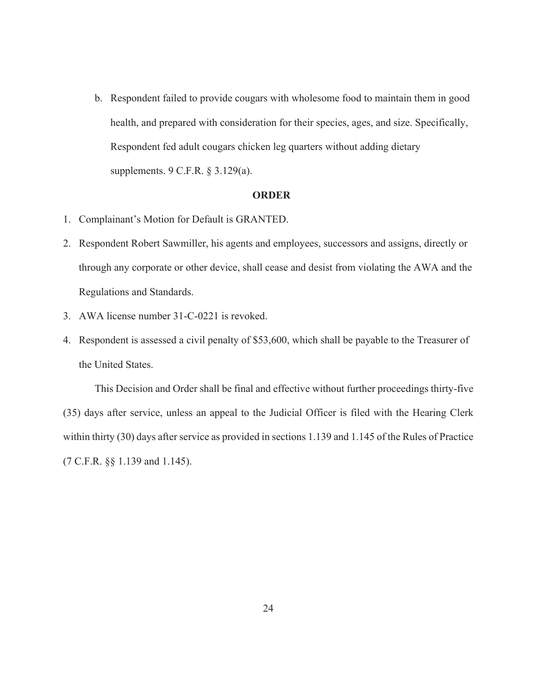b. Respondent failed to provide cougars with wholesome food to maintain them in good health, and prepared with consideration for their species, ages, and size. Specifically, Respondent fed adult cougars chicken leg quarters without adding dietary supplements. 9 C.F.R. § 3.129(a).

### **ORDER**

- 1. Complainant's Motion for Default is GRANTED.
- 2. Respondent Robert Sawmiller, his agents and employees, successors and assigns, directly or through any corporate or other device, shall cease and desist from violating the AWA and the Regulations and Standards.
- 3. AWA license number 31-C-0221 is revoked.
- 4. Respondent is assessed a civil penalty of \$53,600, which shall be payable to the Treasurer of the United States.

 This Decision and Order shall be final and effective without further proceedings thirty-five (35) days after service, unless an appeal to the Judicial Officer is filed with the Hearing Clerk within thirty (30) days after service as provided in sections 1.139 and 1.145 of the Rules of Practice (7 C.F.R. §§ 1.139 and 1.145).